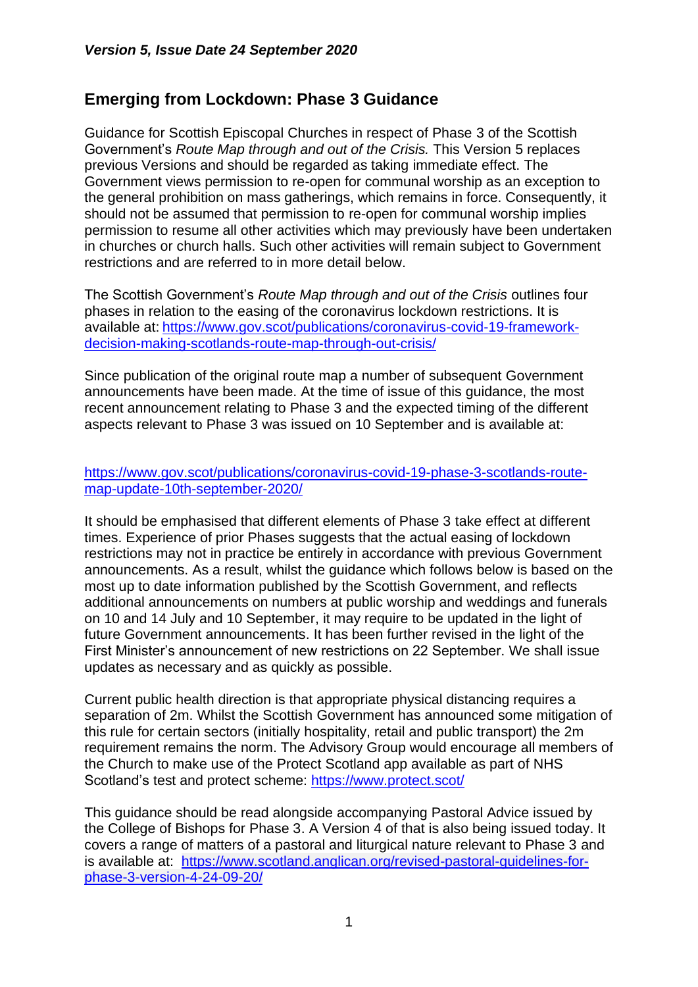# **Emerging from Lockdown: Phase 3 Guidance**

Guidance for Scottish Episcopal Churches in respect of Phase 3 of the Scottish Government's *Route Map through and out of the Crisis.* This Version 5 replaces previous Versions and should be regarded as taking immediate effect. The Government views permission to re-open for communal worship as an exception to the general prohibition on mass gatherings, which remains in force. Consequently, it should not be assumed that permission to re-open for communal worship implies permission to resume all other activities which may previously have been undertaken in churches or church halls. Such other activities will remain subject to Government restrictions and are referred to in more detail below.

The Scottish Government's *Route Map through and out of the Crisis* outlines four phases in relation to the easing of the coronavirus lockdown restrictions. It is available at: [https://www.gov.scot/publications/coronavirus-covid-19-framework](https://www.gov.scot/publications/coronavirus-covid-19-framework-decision-making-scotlands-route-map-through-out-crisis/)[decision-making-scotlands-route-map-through-out-crisis/](https://www.gov.scot/publications/coronavirus-covid-19-framework-decision-making-scotlands-route-map-through-out-crisis/)

Since publication of the original route map a number of subsequent Government announcements have been made. At the time of issue of this guidance, the most recent announcement relating to Phase 3 and the expected timing of the different aspects relevant to Phase 3 was issued on 10 September and is available at:

#### [https://www.gov.scot/publications/coronavirus-covid-19-phase-3-scotlands-route](https://www.gov.scot/publications/coronavirus-covid-19-phase-3-scotlands-route-map-update-10th-september-2020/)[map-update-10th-september-2020/](https://www.gov.scot/publications/coronavirus-covid-19-phase-3-scotlands-route-map-update-10th-september-2020/)

It should be emphasised that different elements of Phase 3 take effect at different times. Experience of prior Phases suggests that the actual easing of lockdown restrictions may not in practice be entirely in accordance with previous Government announcements. As a result, whilst the guidance which follows below is based on the most up to date information published by the Scottish Government, and reflects additional announcements on numbers at public worship and weddings and funerals on 10 and 14 July and 10 September, it may require to be updated in the light of future Government announcements. It has been further revised in the light of the First Minister's announcement of new restrictions on 22 September. We shall issue updates as necessary and as quickly as possible.

Current public health direction is that appropriate physical distancing requires a separation of 2m. Whilst the Scottish Government has announced some mitigation of this rule for certain sectors (initially hospitality, retail and public transport) the 2m requirement remains the norm. The Advisory Group would encourage all members of the Church to make use of the Protect Scotland app available as part of NHS Scotland's test and protect scheme:<https://www.protect.scot/>

This guidance should be read alongside accompanying Pastoral Advice issued by the College of Bishops for Phase 3. A Version 4 of that is also being issued today. It covers a range of matters of a pastoral and liturgical nature relevant to Phase 3 and is available at: [https://www.scotland.anglican.org/revised-pastoral-guidelines-for](https://www.scotland.anglican.org/revised-pastoral-guidelines-for-phase-3-version-4-24-09-20/)[phase-3-version-4-24-09-20/](https://www.scotland.anglican.org/revised-pastoral-guidelines-for-phase-3-version-4-24-09-20/)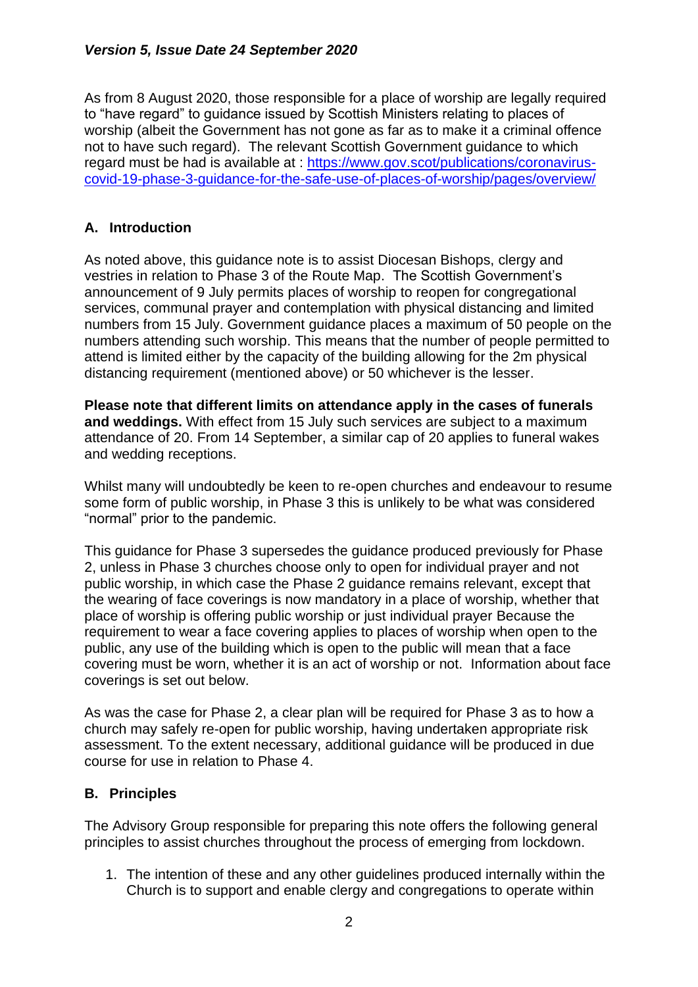As from 8 August 2020, those responsible for a place of worship are legally required to "have regard" to guidance issued by Scottish Ministers relating to places of worship (albeit the Government has not gone as far as to make it a criminal offence not to have such regard). The relevant Scottish Government guidance to which regard must be had is available at : [https://www.gov.scot/publications/coronavirus](https://www.gov.scot/publications/coronavirus-covid-19-phase-3-guidance-for-the-safe-use-of-places-of-worship/pages/overview/)[covid-19-phase-3-guidance-for-the-safe-use-of-places-of-worship/pages/overview/](https://www.gov.scot/publications/coronavirus-covid-19-phase-3-guidance-for-the-safe-use-of-places-of-worship/pages/overview/)

### **A. Introduction**

As noted above, this guidance note is to assist Diocesan Bishops, clergy and vestries in relation to Phase 3 of the Route Map. The Scottish Government's announcement of 9 July permits places of worship to reopen for congregational services, communal prayer and contemplation with physical distancing and limited numbers from 15 July. Government guidance places a maximum of 50 people on the numbers attending such worship. This means that the number of people permitted to attend is limited either by the capacity of the building allowing for the 2m physical distancing requirement (mentioned above) or 50 whichever is the lesser.

**Please note that different limits on attendance apply in the cases of funerals and weddings.** With effect from 15 July such services are subject to a maximum attendance of 20. From 14 September, a similar cap of 20 applies to funeral wakes and wedding receptions.

Whilst many will undoubtedly be keen to re-open churches and endeavour to resume some form of public worship, in Phase 3 this is unlikely to be what was considered "normal" prior to the pandemic.

This guidance for Phase 3 supersedes the guidance produced previously for Phase 2, unless in Phase 3 churches choose only to open for individual prayer and not public worship, in which case the Phase 2 guidance remains relevant, except that the wearing of face coverings is now mandatory in a place of worship, whether that place of worship is offering public worship or just individual prayer Because the requirement to wear a face covering applies to places of worship when open to the public, any use of the building which is open to the public will mean that a face covering must be worn, whether it is an act of worship or not. Information about face coverings is set out below.

As was the case for Phase 2, a clear plan will be required for Phase 3 as to how a church may safely re-open for public worship, having undertaken appropriate risk assessment. To the extent necessary, additional guidance will be produced in due course for use in relation to Phase 4.

### **B. Principles**

The Advisory Group responsible for preparing this note offers the following general principles to assist churches throughout the process of emerging from lockdown.

1. The intention of these and any other guidelines produced internally within the Church is to support and enable clergy and congregations to operate within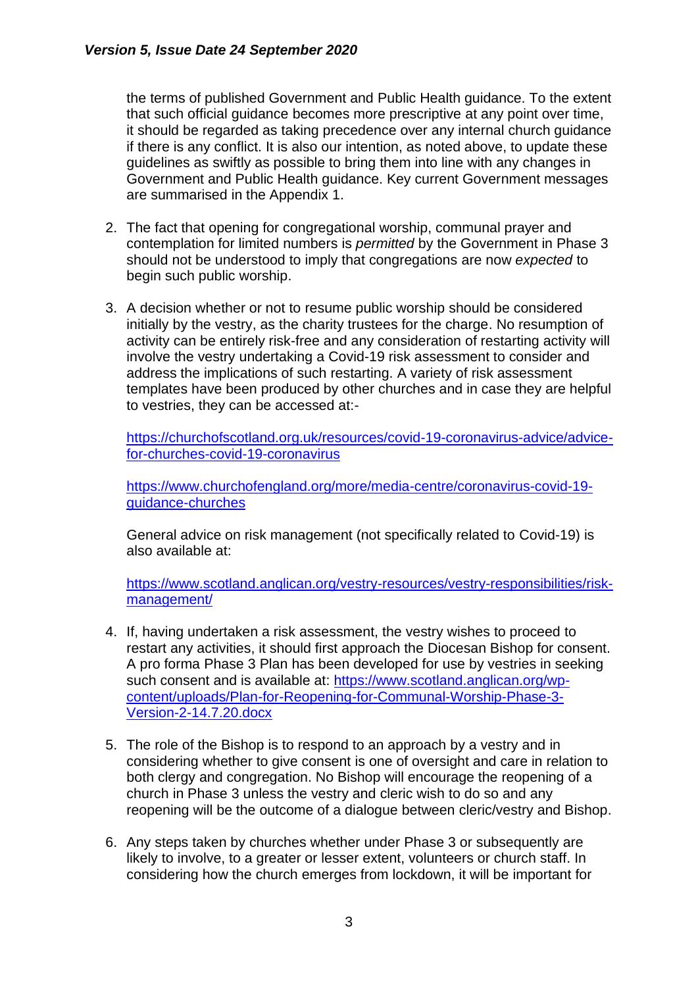the terms of published Government and Public Health guidance. To the extent that such official guidance becomes more prescriptive at any point over time, it should be regarded as taking precedence over any internal church guidance if there is any conflict. It is also our intention, as noted above, to update these guidelines as swiftly as possible to bring them into line with any changes in Government and Public Health guidance. Key current Government messages are summarised in the Appendix 1.

- 2. The fact that opening for congregational worship, communal prayer and contemplation for limited numbers is *permitted* by the Government in Phase 3 should not be understood to imply that congregations are now *expected* to begin such public worship.
- 3. A decision whether or not to resume public worship should be considered initially by the vestry, as the charity trustees for the charge. No resumption of activity can be entirely risk-free and any consideration of restarting activity will involve the vestry undertaking a Covid-19 risk assessment to consider and address the implications of such restarting. A variety of risk assessment templates have been produced by other churches and in case they are helpful to vestries, they can be accessed at:-

[https://churchofscotland.org.uk/resources/covid-19-coronavirus-advice/advice](https://churchofscotland.org.uk/resources/covid-19-coronavirus-advice/advice-for-churches-covid-19-coronavirus)[for-churches-covid-19-coronavirus](https://churchofscotland.org.uk/resources/covid-19-coronavirus-advice/advice-for-churches-covid-19-coronavirus)

[https://www.churchofengland.org/more/media-centre/coronavirus-covid-19](https://www.churchofengland.org/more/media-centre/coronavirus-covid-19-guidance-churches) [guidance-churches](https://www.churchofengland.org/more/media-centre/coronavirus-covid-19-guidance-churches)

General advice on risk management (not specifically related to Covid-19) is also available at:

[https://www.scotland.anglican.org/vestry-resources/vestry-responsibilities/risk](https://www.scotland.anglican.org/vestry-resources/vestry-responsibilities/risk-management/)[management/](https://www.scotland.anglican.org/vestry-resources/vestry-responsibilities/risk-management/)

- 4. If, having undertaken a risk assessment, the vestry wishes to proceed to restart any activities, it should first approach the Diocesan Bishop for consent. A pro forma Phase 3 Plan has been developed for use by vestries in seeking such consent and is available at: [https://www.scotland.anglican.org/wp](https://www.scotland.anglican.org/wp-content/uploads/Plan-for-Reopening-for-Communal-Worship-Phase-3-Version-2-14.7.20.docx)[content/uploads/Plan-for-Reopening-for-Communal-Worship-Phase-3-](https://www.scotland.anglican.org/wp-content/uploads/Plan-for-Reopening-for-Communal-Worship-Phase-3-Version-2-14.7.20.docx) [Version-2-14.7.20.docx](https://www.scotland.anglican.org/wp-content/uploads/Plan-for-Reopening-for-Communal-Worship-Phase-3-Version-2-14.7.20.docx)
- 5. The role of the Bishop is to respond to an approach by a vestry and in considering whether to give consent is one of oversight and care in relation to both clergy and congregation. No Bishop will encourage the reopening of a church in Phase 3 unless the vestry and cleric wish to do so and any reopening will be the outcome of a dialogue between cleric/vestry and Bishop.
- 6. Any steps taken by churches whether under Phase 3 or subsequently are likely to involve, to a greater or lesser extent, volunteers or church staff. In considering how the church emerges from lockdown, it will be important for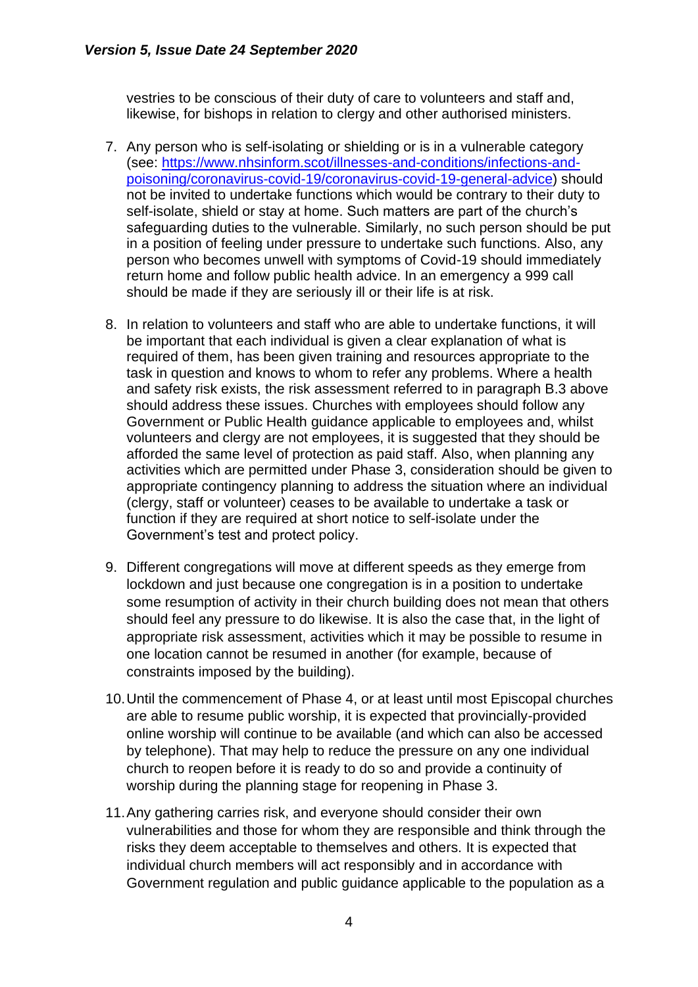vestries to be conscious of their duty of care to volunteers and staff and, likewise, for bishops in relation to clergy and other authorised ministers.

- 7. Any person who is self-isolating or shielding or is in a vulnerable category (see: [https://www.nhsinform.scot/illnesses-and-conditions/infections-and](https://www.nhsinform.scot/illnesses-and-conditions/infections-and-poisoning/coronavirus-covid-19/coronavirus-covid-19-general-advice)[poisoning/coronavirus-covid-19/coronavirus-covid-19-general-advice\)](https://www.nhsinform.scot/illnesses-and-conditions/infections-and-poisoning/coronavirus-covid-19/coronavirus-covid-19-general-advice) should not be invited to undertake functions which would be contrary to their duty to self-isolate, shield or stay at home. Such matters are part of the church's safeguarding duties to the vulnerable. Similarly, no such person should be put in a position of feeling under pressure to undertake such functions. Also, any person who becomes unwell with symptoms of Covid-19 should immediately return home and follow public health advice. In an emergency a 999 call should be made if they are seriously ill or their life is at risk.
- 8. In relation to volunteers and staff who are able to undertake functions, it will be important that each individual is given a clear explanation of what is required of them, has been given training and resources appropriate to the task in question and knows to whom to refer any problems. Where a health and safety risk exists, the risk assessment referred to in paragraph B.3 above should address these issues. Churches with employees should follow any Government or Public Health guidance applicable to employees and, whilst volunteers and clergy are not employees, it is suggested that they should be afforded the same level of protection as paid staff. Also, when planning any activities which are permitted under Phase 3, consideration should be given to appropriate contingency planning to address the situation where an individual (clergy, staff or volunteer) ceases to be available to undertake a task or function if they are required at short notice to self-isolate under the Government's test and protect policy.
- 9. Different congregations will move at different speeds as they emerge from lockdown and just because one congregation is in a position to undertake some resumption of activity in their church building does not mean that others should feel any pressure to do likewise. It is also the case that, in the light of appropriate risk assessment, activities which it may be possible to resume in one location cannot be resumed in another (for example, because of constraints imposed by the building).
- 10.Until the commencement of Phase 4, or at least until most Episcopal churches are able to resume public worship, it is expected that provincially-provided online worship will continue to be available (and which can also be accessed by telephone). That may help to reduce the pressure on any one individual church to reopen before it is ready to do so and provide a continuity of worship during the planning stage for reopening in Phase 3.
- 11.Any gathering carries risk, and everyone should consider their own vulnerabilities and those for whom they are responsible and think through the risks they deem acceptable to themselves and others. It is expected that individual church members will act responsibly and in accordance with Government regulation and public guidance applicable to the population as a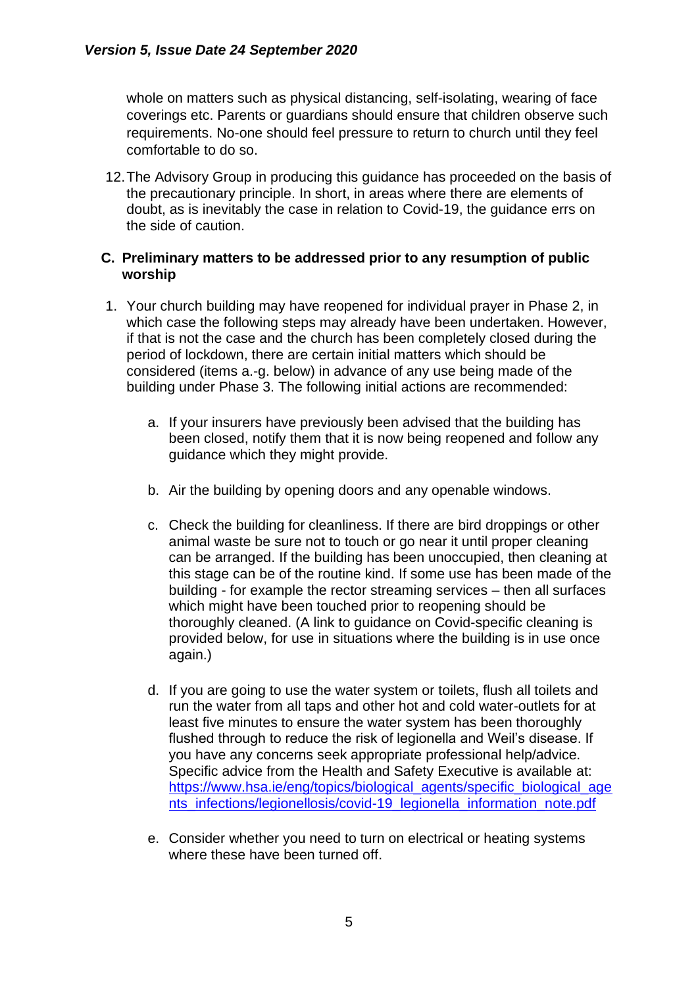whole on matters such as physical distancing, self-isolating, wearing of face coverings etc. Parents or guardians should ensure that children observe such requirements. No-one should feel pressure to return to church until they feel comfortable to do so.

12.The Advisory Group in producing this guidance has proceeded on the basis of the precautionary principle. In short, in areas where there are elements of doubt, as is inevitably the case in relation to Covid-19, the guidance errs on the side of caution.

#### **C. Preliminary matters to be addressed prior to any resumption of public worship**

- 1. Your church building may have reopened for individual prayer in Phase 2, in which case the following steps may already have been undertaken. However, if that is not the case and the church has been completely closed during the period of lockdown, there are certain initial matters which should be considered (items a.-g. below) in advance of any use being made of the building under Phase 3. The following initial actions are recommended:
	- a. If your insurers have previously been advised that the building has been closed, notify them that it is now being reopened and follow any guidance which they might provide.
	- b. Air the building by opening doors and any openable windows.
	- c. Check the building for cleanliness. If there are bird droppings or other animal waste be sure not to touch or go near it until proper cleaning can be arranged. If the building has been unoccupied, then cleaning at this stage can be of the routine kind. If some use has been made of the building - for example the rector streaming services – then all surfaces which might have been touched prior to reopening should be thoroughly cleaned. (A link to guidance on Covid-specific cleaning is provided below, for use in situations where the building is in use once again.)
	- d. If you are going to use the water system or toilets, flush all toilets and run the water from all taps and other hot and cold water-outlets for at least five minutes to ensure the water system has been thoroughly flushed through to reduce the risk of legionella and Weil's disease. If you have any concerns seek appropriate professional help/advice. Specific advice from the Health and Safety Executive is available at: [https://www.hsa.ie/eng/topics/biological\\_agents/specific\\_biological\\_age](https://www.hsa.ie/eng/topics/biological_agents/specific_biological_agents_infections/legionellosis/covid-19_legionella_information_note.pdf) [nts\\_infections/legionellosis/covid-19\\_legionella\\_information\\_note.pdf](https://www.hsa.ie/eng/topics/biological_agents/specific_biological_agents_infections/legionellosis/covid-19_legionella_information_note.pdf)
	- e. Consider whether you need to turn on electrical or heating systems where these have been turned off.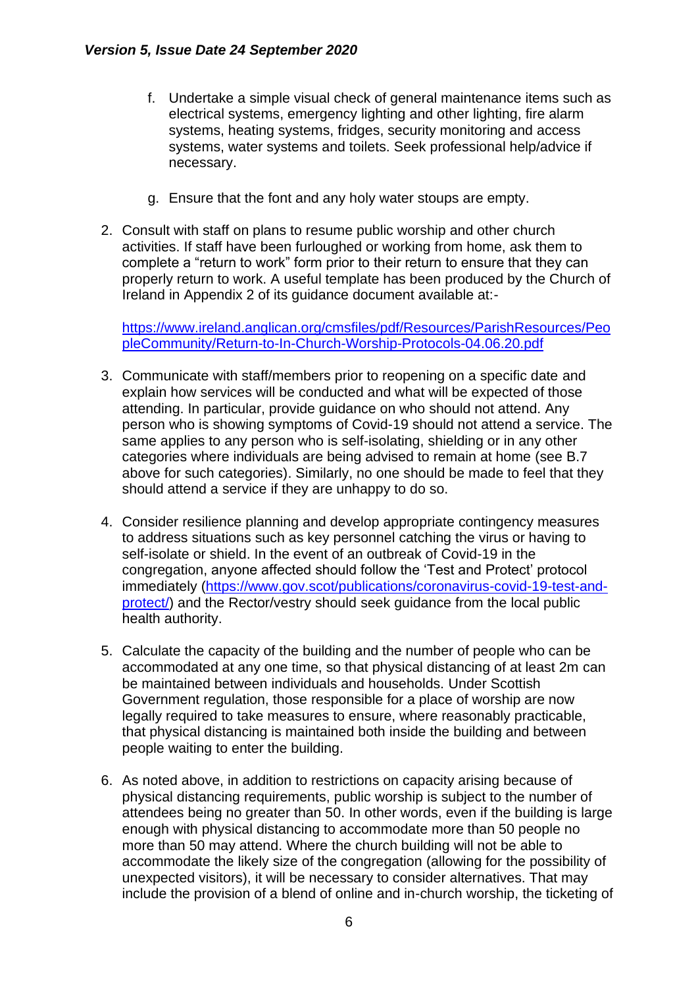- f. Undertake a simple visual check of general maintenance items such as electrical systems, emergency lighting and other lighting, fire alarm systems, heating systems, fridges, security monitoring and access systems, water systems and toilets. Seek professional help/advice if necessary.
- g. Ensure that the font and any holy water stoups are empty.
- 2. Consult with staff on plans to resume public worship and other church activities. If staff have been furloughed or working from home, ask them to complete a "return to work" form prior to their return to ensure that they can properly return to work. A useful template has been produced by the Church of Ireland in Appendix 2 of its guidance document available at:-

[https://www.ireland.anglican.org/cmsfiles/pdf/Resources/ParishResources/Peo](https://www.ireland.anglican.org/cmsfiles/pdf/Resources/ParishResources/PeopleCommunity/Return-to-In-Church-Worship-Protocols-04.06.20.pdf) [pleCommunity/Return-to-In-Church-Worship-Protocols-04.06.20.pdf](https://www.ireland.anglican.org/cmsfiles/pdf/Resources/ParishResources/PeopleCommunity/Return-to-In-Church-Worship-Protocols-04.06.20.pdf)

- 3. Communicate with staff/members prior to reopening on a specific date and explain how services will be conducted and what will be expected of those attending. In particular, provide guidance on who should not attend. Any person who is showing symptoms of Covid-19 should not attend a service. The same applies to any person who is self-isolating, shielding or in any other categories where individuals are being advised to remain at home (see B.7 above for such categories). Similarly, no one should be made to feel that they should attend a service if they are unhappy to do so.
- 4. Consider resilience planning and develop appropriate contingency measures to address situations such as key personnel catching the virus or having to self-isolate or shield. In the event of an outbreak of Covid-19 in the congregation, anyone affected should follow the 'Test and Protect' protocol immediately [\(https://www.gov.scot/publications/coronavirus-covid-19-test-and](https://www.gov.scot/publications/coronavirus-covid-19-test-and-protect/)[protect/\)](https://www.gov.scot/publications/coronavirus-covid-19-test-and-protect/) and the Rector/vestry should seek guidance from the local public health authority.
- 5. Calculate the capacity of the building and the number of people who can be accommodated at any one time, so that physical distancing of at least 2m can be maintained between individuals and households. Under Scottish Government regulation, those responsible for a place of worship are now legally required to take measures to ensure, where reasonably practicable, that physical distancing is maintained both inside the building and between people waiting to enter the building.
- 6. As noted above, in addition to restrictions on capacity arising because of physical distancing requirements, public worship is subject to the number of attendees being no greater than 50. In other words, even if the building is large enough with physical distancing to accommodate more than 50 people no more than 50 may attend. Where the church building will not be able to accommodate the likely size of the congregation (allowing for the possibility of unexpected visitors), it will be necessary to consider alternatives. That may include the provision of a blend of online and in-church worship, the ticketing of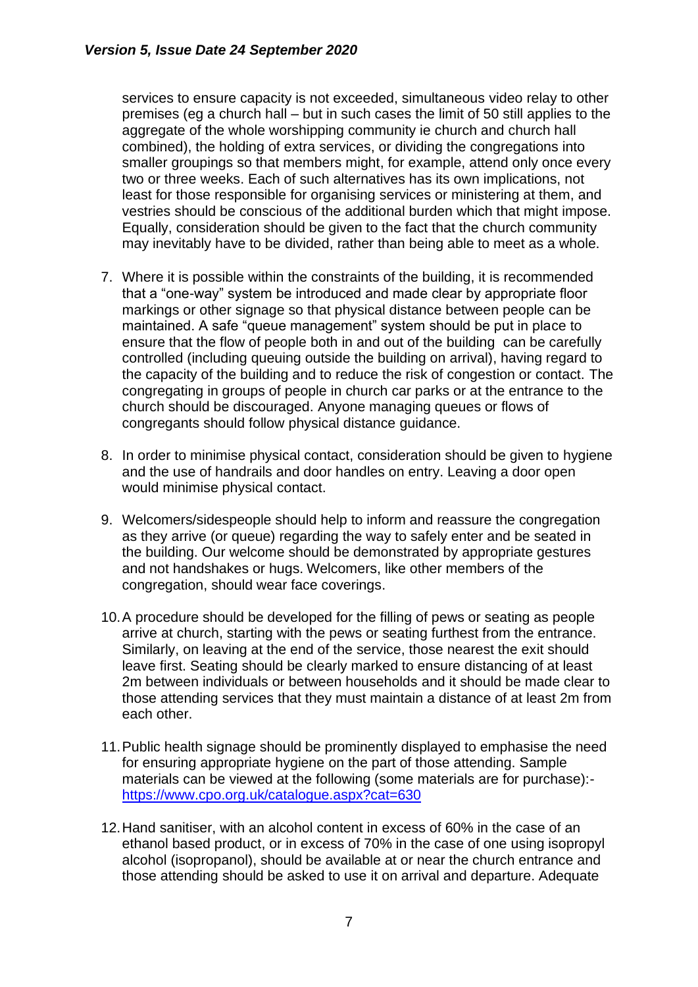services to ensure capacity is not exceeded, simultaneous video relay to other premises (eg a church hall – but in such cases the limit of 50 still applies to the aggregate of the whole worshipping community ie church and church hall combined), the holding of extra services, or dividing the congregations into smaller groupings so that members might, for example, attend only once every two or three weeks. Each of such alternatives has its own implications, not least for those responsible for organising services or ministering at them, and vestries should be conscious of the additional burden which that might impose. Equally, consideration should be given to the fact that the church community may inevitably have to be divided, rather than being able to meet as a whole.

- 7. Where it is possible within the constraints of the building, it is recommended that a "one-way" system be introduced and made clear by appropriate floor markings or other signage so that physical distance between people can be maintained. A safe "queue management" system should be put in place to ensure that the flow of people both in and out of the building can be carefully controlled (including queuing outside the building on arrival), having regard to the capacity of the building and to reduce the risk of congestion or contact. The congregating in groups of people in church car parks or at the entrance to the church should be discouraged. Anyone managing queues or flows of congregants should follow physical distance guidance.
- 8. In order to minimise physical contact, consideration should be given to hygiene and the use of handrails and door handles on entry. Leaving a door open would minimise physical contact.
- 9. Welcomers/sidespeople should help to inform and reassure the congregation as they arrive (or queue) regarding the way to safely enter and be seated in the building. Our welcome should be demonstrated by appropriate gestures and not handshakes or hugs. Welcomers, like other members of the congregation, should wear face coverings.
- 10.A procedure should be developed for the filling of pews or seating as people arrive at church, starting with the pews or seating furthest from the entrance. Similarly, on leaving at the end of the service, those nearest the exit should leave first. Seating should be clearly marked to ensure distancing of at least 2m between individuals or between households and it should be made clear to those attending services that they must maintain a distance of at least 2m from each other.
- 11.Public health signage should be prominently displayed to emphasise the need for ensuring appropriate hygiene on the part of those attending. Sample materials can be viewed at the following (some materials are for purchase): <https://www.cpo.org.uk/catalogue.aspx?cat=630>
- 12.Hand sanitiser, with an alcohol content in excess of 60% in the case of an ethanol based product, or in excess of 70% in the case of one using isopropyl alcohol (isopropanol), should be available at or near the church entrance and those attending should be asked to use it on arrival and departure. Adequate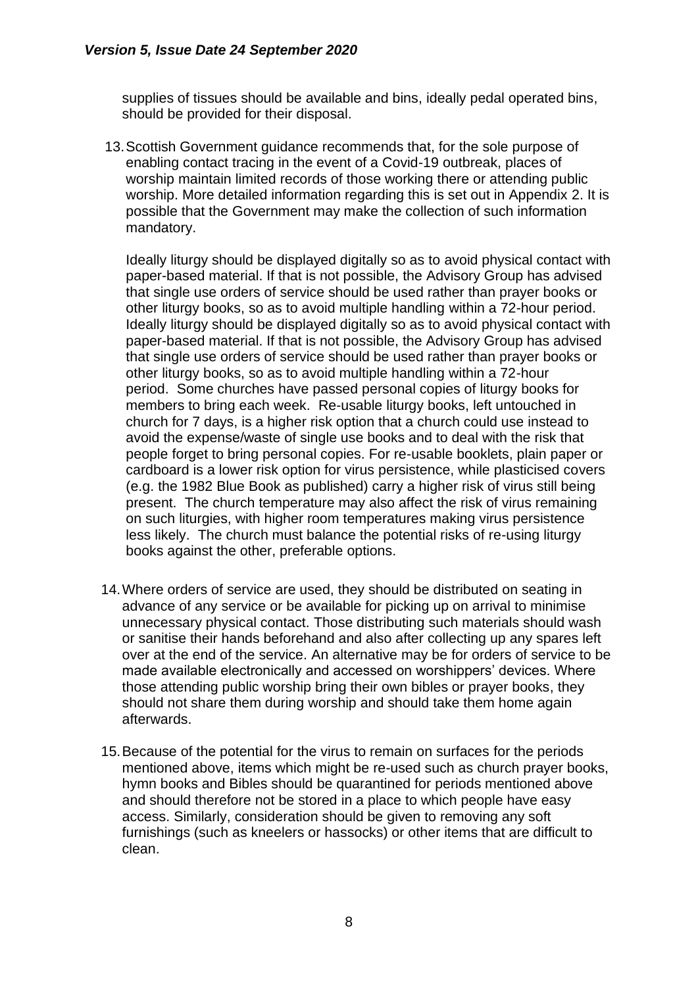supplies of tissues should be available and bins, ideally pedal operated bins, should be provided for their disposal.

13.Scottish Government guidance recommends that, for the sole purpose of enabling contact tracing in the event of a Covid-19 outbreak, places of worship maintain limited records of those working there or attending public worship. More detailed information regarding this is set out in Appendix 2. It is possible that the Government may make the collection of such information mandatory.

Ideally liturgy should be displayed digitally so as to avoid physical contact with paper-based material. If that is not possible, the Advisory Group has advised that single use orders of service should be used rather than prayer books or other liturgy books, so as to avoid multiple handling within a 72-hour period. Ideally liturgy should be displayed digitally so as to avoid physical contact with paper-based material. If that is not possible, the Advisory Group has advised that single use orders of service should be used rather than prayer books or other liturgy books, so as to avoid multiple handling within a 72-hour period. Some churches have passed personal copies of liturgy books for members to bring each week. Re-usable liturgy books, left untouched in church for 7 days, is a higher risk option that a church could use instead to avoid the expense/waste of single use books and to deal with the risk that people forget to bring personal copies. For re-usable booklets, plain paper or cardboard is a lower risk option for virus persistence, while plasticised covers (e.g. the 1982 Blue Book as published) carry a higher risk of virus still being present. The church temperature may also affect the risk of virus remaining on such liturgies, with higher room temperatures making virus persistence less likely. The church must balance the potential risks of re-using liturgy books against the other, preferable options.

- 14.Where orders of service are used, they should be distributed on seating in advance of any service or be available for picking up on arrival to minimise unnecessary physical contact. Those distributing such materials should wash or sanitise their hands beforehand and also after collecting up any spares left over at the end of the service. An alternative may be for orders of service to be made available electronically and accessed on worshippers' devices. Where those attending public worship bring their own bibles or prayer books, they should not share them during worship and should take them home again afterwards.
- 15.Because of the potential for the virus to remain on surfaces for the periods mentioned above, items which might be re-used such as church prayer books, hymn books and Bibles should be quarantined for periods mentioned above and should therefore not be stored in a place to which people have easy access. Similarly, consideration should be given to removing any soft furnishings (such as kneelers or hassocks) or other items that are difficult to clean.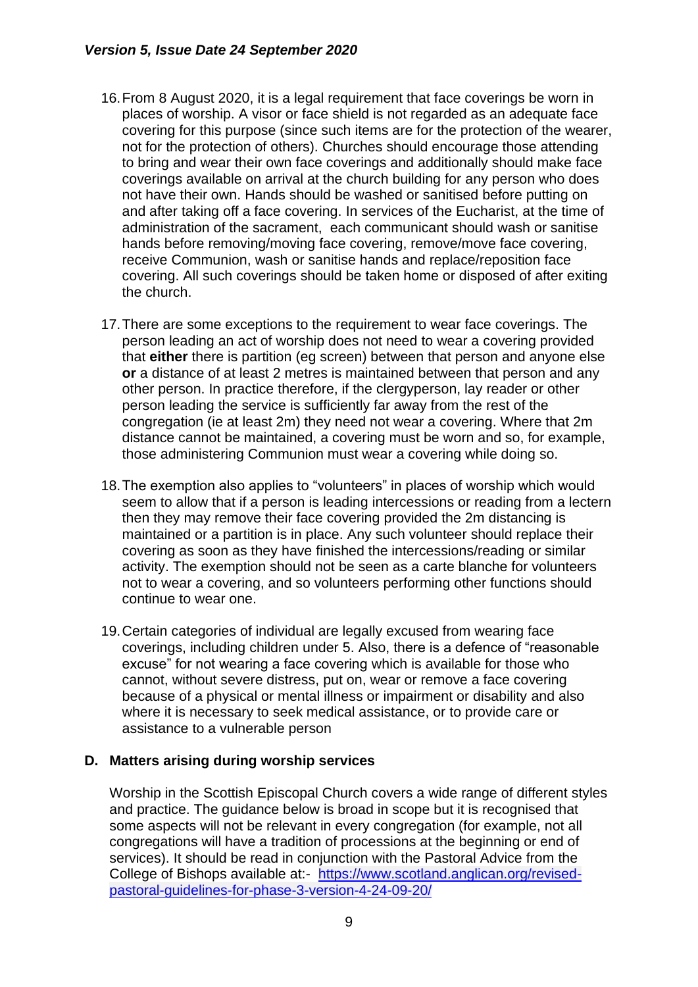- 16.From 8 August 2020, it is a legal requirement that face coverings be worn in places of worship. A visor or face shield is not regarded as an adequate face covering for this purpose (since such items are for the protection of the wearer, not for the protection of others). Churches should encourage those attending to bring and wear their own face coverings and additionally should make face coverings available on arrival at the church building for any person who does not have their own. Hands should be washed or sanitised before putting on and after taking off a face covering. In services of the Eucharist, at the time of administration of the sacrament, each communicant should wash or sanitise hands before removing/moving face covering, remove/move face covering, receive Communion, wash or sanitise hands and replace/reposition face covering. All such coverings should be taken home or disposed of after exiting the church.
- 17.There are some exceptions to the requirement to wear face coverings. The person leading an act of worship does not need to wear a covering provided that **either** there is partition (eg screen) between that person and anyone else **or** a distance of at least 2 metres is maintained between that person and any other person. In practice therefore, if the clergyperson, lay reader or other person leading the service is sufficiently far away from the rest of the congregation (ie at least 2m) they need not wear a covering. Where that 2m distance cannot be maintained, a covering must be worn and so, for example, those administering Communion must wear a covering while doing so.
- 18.The exemption also applies to "volunteers" in places of worship which would seem to allow that if a person is leading intercessions or reading from a lectern then they may remove their face covering provided the 2m distancing is maintained or a partition is in place. Any such volunteer should replace their covering as soon as they have finished the intercessions/reading or similar activity. The exemption should not be seen as a carte blanche for volunteers not to wear a covering, and so volunteers performing other functions should continue to wear one.
- 19.Certain categories of individual are legally excused from wearing face coverings, including children under 5. Also, there is a defence of "reasonable excuse" for not wearing a face covering which is available for those who cannot, without severe distress, put on, wear or remove a face covering because of a physical or mental illness or impairment or disability and also where it is necessary to seek medical assistance, or to provide care or assistance to a vulnerable person

#### **D. Matters arising during worship services**

Worship in the Scottish Episcopal Church covers a wide range of different styles and practice. The guidance below is broad in scope but it is recognised that some aspects will not be relevant in every congregation (for example, not all congregations will have a tradition of processions at the beginning or end of services). It should be read in conjunction with the Pastoral Advice from the College of Bishops available at:- [https://www.scotland.anglican.org/revised](https://www.scotland.anglican.org/revised-pastoral-guidelines-for-phase-3-version-4-24-09-20/)[pastoral-guidelines-for-phase-3-version-4-24-09-20/](https://www.scotland.anglican.org/revised-pastoral-guidelines-for-phase-3-version-4-24-09-20/)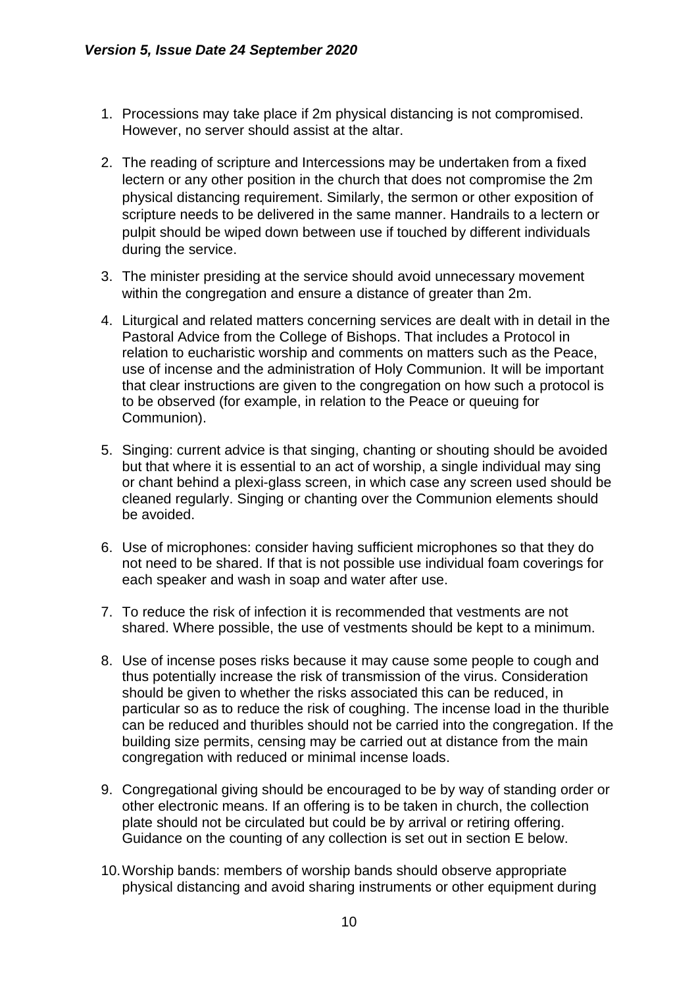- 1. Processions may take place if 2m physical distancing is not compromised. However, no server should assist at the altar.
- 2. The reading of scripture and Intercessions may be undertaken from a fixed lectern or any other position in the church that does not compromise the 2m physical distancing requirement. Similarly, the sermon or other exposition of scripture needs to be delivered in the same manner. Handrails to a lectern or pulpit should be wiped down between use if touched by different individuals during the service.
- 3. The minister presiding at the service should avoid unnecessary movement within the congregation and ensure a distance of greater than 2m.
- 4. Liturgical and related matters concerning services are dealt with in detail in the Pastoral Advice from the College of Bishops. That includes a Protocol in relation to eucharistic worship and comments on matters such as the Peace, use of incense and the administration of Holy Communion. It will be important that clear instructions are given to the congregation on how such a protocol is to be observed (for example, in relation to the Peace or queuing for Communion).
- 5. Singing: current advice is that singing, chanting or shouting should be avoided but that where it is essential to an act of worship, a single individual may sing or chant behind a plexi-glass screen, in which case any screen used should be cleaned regularly. Singing or chanting over the Communion elements should be avoided.
- 6. Use of microphones: consider having sufficient microphones so that they do not need to be shared. If that is not possible use individual foam coverings for each speaker and wash in soap and water after use.
- 7. To reduce the risk of infection it is recommended that vestments are not shared. Where possible, the use of vestments should be kept to a minimum.
- 8. Use of incense poses risks because it may cause some people to cough and thus potentially increase the risk of transmission of the virus. Consideration should be given to whether the risks associated this can be reduced, in particular so as to reduce the risk of coughing. The incense load in the thurible can be reduced and thuribles should not be carried into the congregation. If the building size permits, censing may be carried out at distance from the main congregation with reduced or minimal incense loads.
- 9. Congregational giving should be encouraged to be by way of standing order or other electronic means. If an offering is to be taken in church, the collection plate should not be circulated but could be by arrival or retiring offering. Guidance on the counting of any collection is set out in section E below.
- 10.Worship bands: members of worship bands should observe appropriate physical distancing and avoid sharing instruments or other equipment during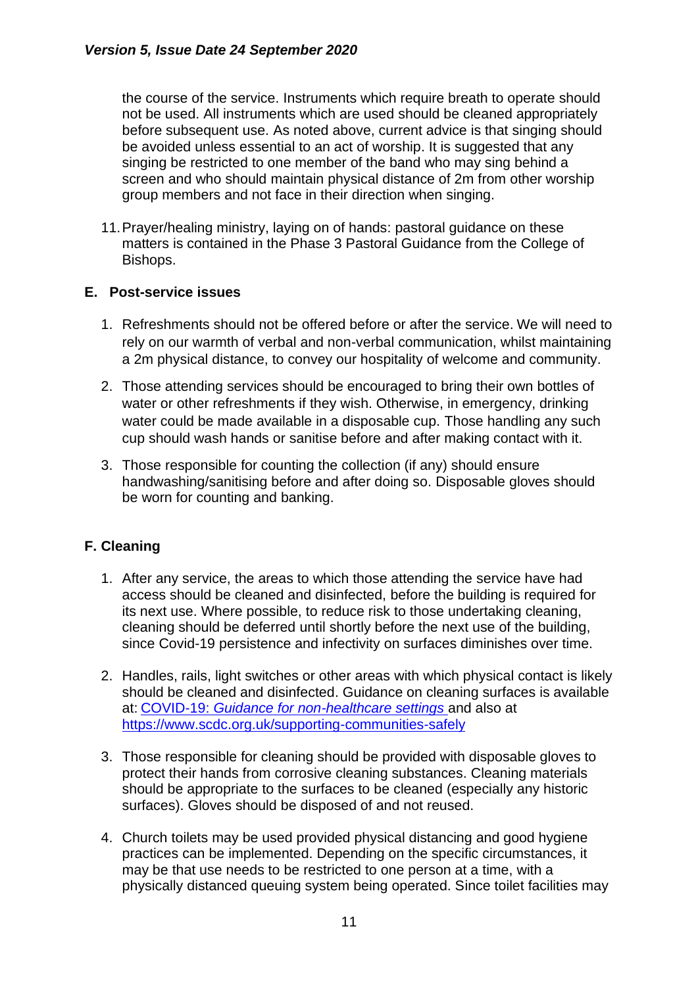the course of the service. Instruments which require breath to operate should not be used. All instruments which are used should be cleaned appropriately before subsequent use. As noted above, current advice is that singing should be avoided unless essential to an act of worship. It is suggested that any singing be restricted to one member of the band who may sing behind a screen and who should maintain physical distance of 2m from other worship group members and not face in their direction when singing.

11.Prayer/healing ministry, laying on of hands: pastoral guidance on these matters is contained in the Phase 3 Pastoral Guidance from the College of Bishops.

#### **E. Post-service issues**

- 1. Refreshments should not be offered before or after the service. We will need to rely on our warmth of verbal and non-verbal communication, whilst maintaining a 2m physical distance, to convey our hospitality of welcome and community.
- 2. Those attending services should be encouraged to bring their own bottles of water or other refreshments if they wish. Otherwise, in emergency, drinking water could be made available in a disposable cup. Those handling any such cup should wash hands or sanitise before and after making contact with it.
- 3. Those responsible for counting the collection (if any) should ensure handwashing/sanitising before and after doing so. Disposable gloves should be worn for counting and banking.

### **F. Cleaning**

- 1. After any service, the areas to which those attending the service have had access should be cleaned and disinfected, before the building is required for its next use. Where possible, to reduce risk to those undertaking cleaning, cleaning should be deferred until shortly before the next use of the building, since Covid-19 persistence and infectivity on surfaces diminishes over time.
- 2. Handles, rails, light switches or other areas with which physical contact is likely should be cleaned and disinfected. Guidance on cleaning surfaces is available at: COVID-19: *[Guidance for non-healthcare settings](https://www.hps.scot.nhs.uk/web-resources-container/covid-19-guidance-for-non-healthcare-settings/)* and also at <https://www.scdc.org.uk/supporting-communities-safely>
- 3. Those responsible for cleaning should be provided with disposable gloves to protect their hands from corrosive cleaning substances. Cleaning materials should be appropriate to the surfaces to be cleaned (especially any historic surfaces). Gloves should be disposed of and not reused.
- 4. Church toilets may be used provided physical distancing and good hygiene practices can be implemented. Depending on the specific circumstances, it may be that use needs to be restricted to one person at a time, with a physically distanced queuing system being operated. Since toilet facilities may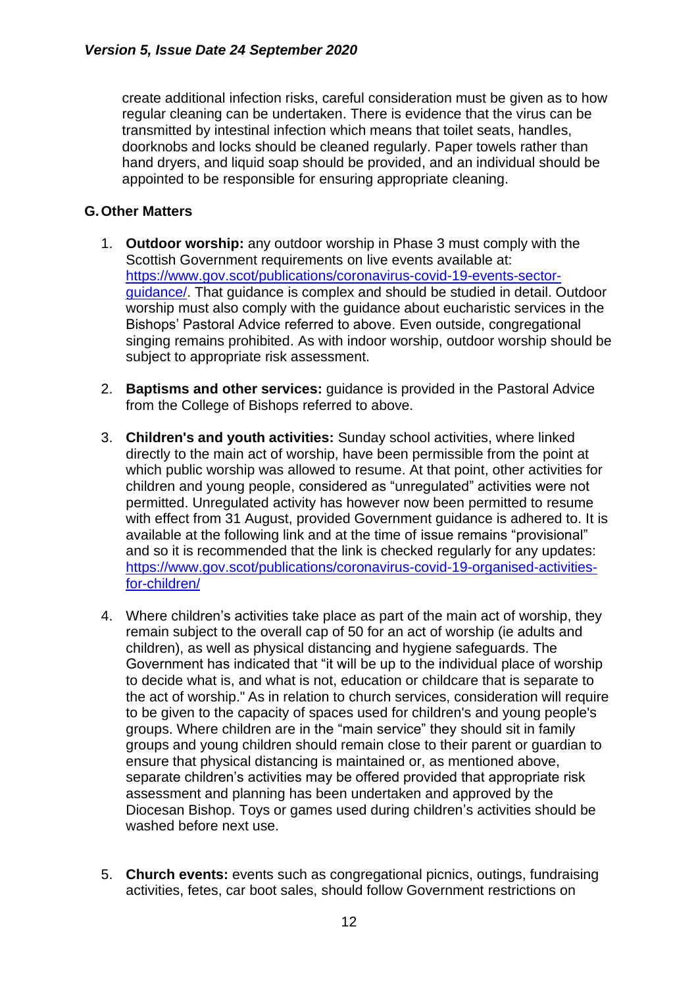create additional infection risks, careful consideration must be given as to how regular cleaning can be undertaken. There is evidence that the virus can be transmitted by intestinal infection which means that toilet seats, handles, doorknobs and locks should be cleaned regularly. Paper towels rather than hand dryers, and liquid soap should be provided, and an individual should be appointed to be responsible for ensuring appropriate cleaning.

### **G.Other Matters**

- 1. **Outdoor worship:** any outdoor worship in Phase 3 must comply with the Scottish Government requirements on live events available at: [https://www.gov.scot/publications/coronavirus-covid-19-events-sector](https://www.gov.scot/publications/coronavirus-covid-19-events-sector-guidance/)[guidance/.](https://www.gov.scot/publications/coronavirus-covid-19-events-sector-guidance/) That guidance is complex and should be studied in detail. Outdoor worship must also comply with the guidance about eucharistic services in the Bishops' Pastoral Advice referred to above. Even outside, congregational singing remains prohibited. As with indoor worship, outdoor worship should be subject to appropriate risk assessment.
- 2. **Baptisms and other services:** guidance is provided in the Pastoral Advice from the College of Bishops referred to above.
- 3. **Children's and youth activities:** Sunday school activities, where linked directly to the main act of worship, have been permissible from the point at which public worship was allowed to resume. At that point, other activities for children and young people, considered as "unregulated" activities were not permitted. Unregulated activity has however now been permitted to resume with effect from 31 August, provided Government guidance is adhered to. It is available at the following link and at the time of issue remains "provisional" and so it is recommended that the link is checked regularly for any updates: [https://www.gov.scot/publications/coronavirus-covid-19-organised-activities](https://www.gov.scot/publications/coronavirus-covid-19-organised-activities-for-children/)[for-children/](https://www.gov.scot/publications/coronavirus-covid-19-organised-activities-for-children/)
- 4. Where children's activities take place as part of the main act of worship, they remain subject to the overall cap of 50 for an act of worship (ie adults and children), as well as physical distancing and hygiene safeguards. The Government has indicated that "it will be up to the individual place of worship to decide what is, and what is not, education or childcare that is separate to the act of worship." As in relation to church services, consideration will require to be given to the capacity of spaces used for children's and young people's groups. Where children are in the "main service" they should sit in family groups and young children should remain close to their parent or guardian to ensure that physical distancing is maintained or, as mentioned above, separate children's activities may be offered provided that appropriate risk assessment and planning has been undertaken and approved by the Diocesan Bishop. Toys or games used during children's activities should be washed before next use.
- 5. **Church events:** events such as congregational picnics, outings, fundraising activities, fetes, car boot sales, should follow Government restrictions on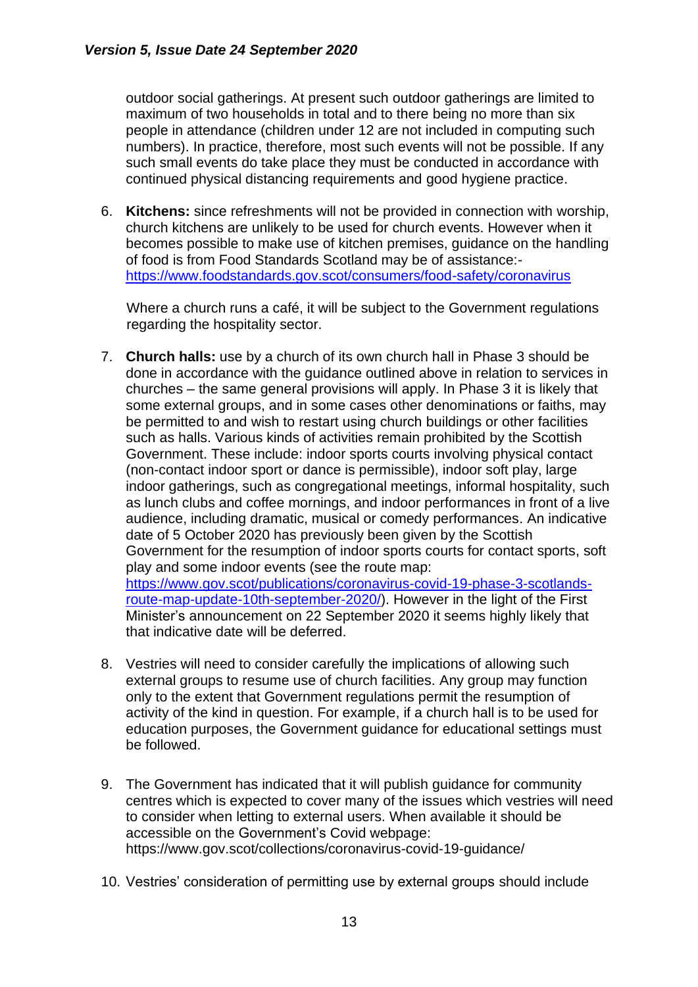outdoor social gatherings. At present such outdoor gatherings are limited to maximum of two households in total and to there being no more than six people in attendance (children under 12 are not included in computing such numbers). In practice, therefore, most such events will not be possible. If any such small events do take place they must be conducted in accordance with continued physical distancing requirements and good hygiene practice.

6. **Kitchens:** since refreshments will not be provided in connection with worship, church kitchens are unlikely to be used for church events. However when it becomes possible to make use of kitchen premises, guidance on the handling of food is from Food Standards Scotland may be of assistance: <https://www.foodstandards.gov.scot/consumers/food-safety/coronavirus>

Where a church runs a café, it will be subject to the Government regulations regarding the hospitality sector.

- 7. **Church halls:** use by a church of its own church hall in Phase 3 should be done in accordance with the guidance outlined above in relation to services in churches – the same general provisions will apply. In Phase 3 it is likely that some external groups, and in some cases other denominations or faiths, may be permitted to and wish to restart using church buildings or other facilities such as halls. Various kinds of activities remain prohibited by the Scottish Government. These include: indoor sports courts involving physical contact (non-contact indoor sport or dance is permissible), indoor soft play, large indoor gatherings, such as congregational meetings, informal hospitality, such as lunch clubs and coffee mornings, and indoor performances in front of a live audience, including dramatic, musical or comedy performances. An indicative date of 5 October 2020 has previously been given by the Scottish Government for the resumption of indoor sports courts for contact sports, soft play and some indoor events (see the route map: [https://www.gov.scot/publications/coronavirus-covid-19-phase-3-scotlands](https://www.gov.scot/publications/coronavirus-covid-19-phase-3-scotlands-route-map-update-10th-september-2020/)[route-map-update-10th-september-2020/\)](https://www.gov.scot/publications/coronavirus-covid-19-phase-3-scotlands-route-map-update-10th-september-2020/). However in the light of the First Minister's announcement on 22 September 2020 it seems highly likely that that indicative date will be deferred.
- 8. Vestries will need to consider carefully the implications of allowing such external groups to resume use of church facilities. Any group may function only to the extent that Government regulations permit the resumption of activity of the kind in question. For example, if a church hall is to be used for education purposes, the Government guidance for educational settings must be followed.
- 9. The Government has indicated that it will publish guidance for community centres which is expected to cover many of the issues which vestries will need to consider when letting to external users. When available it should be accessible on the Government's Covid webpage: https://www.gov.scot/collections/coronavirus-covid-19-guidance/
- 10. Vestries' consideration of permitting use by external groups should include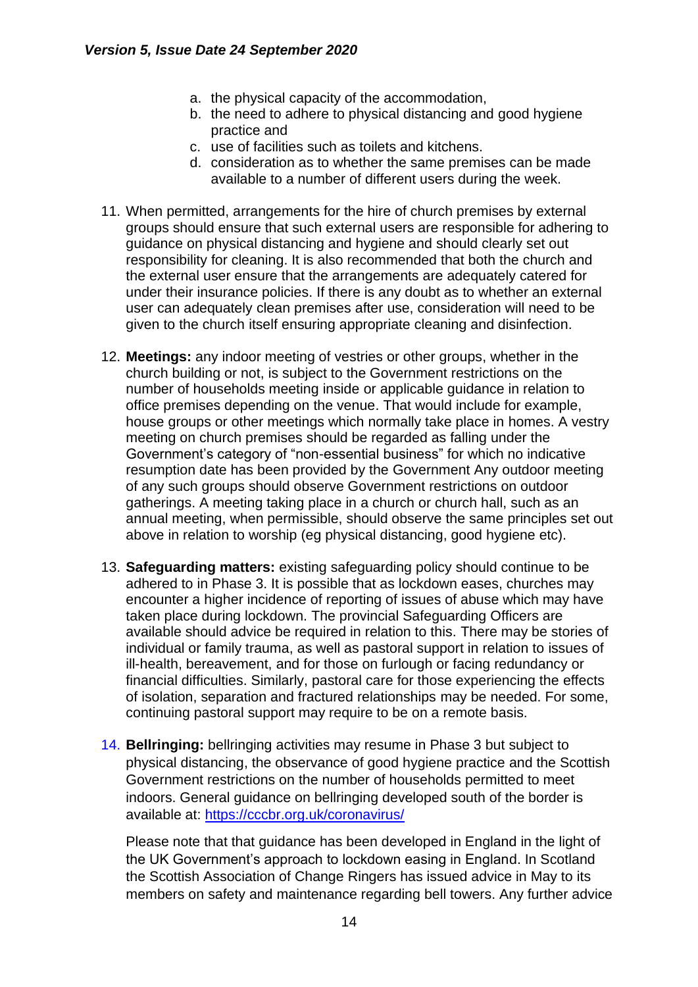- a. the physical capacity of the accommodation,
- b. the need to adhere to physical distancing and good hygiene practice and
- c. use of facilities such as toilets and kitchens.
- d. consideration as to whether the same premises can be made available to a number of different users during the week.
- 11. When permitted, arrangements for the hire of church premises by external groups should ensure that such external users are responsible for adhering to guidance on physical distancing and hygiene and should clearly set out responsibility for cleaning. It is also recommended that both the church and the external user ensure that the arrangements are adequately catered for under their insurance policies. If there is any doubt as to whether an external user can adequately clean premises after use, consideration will need to be given to the church itself ensuring appropriate cleaning and disinfection.
- 12. **Meetings:** any indoor meeting of vestries or other groups, whether in the church building or not, is subject to the Government restrictions on the number of households meeting inside or applicable guidance in relation to office premises depending on the venue. That would include for example, house groups or other meetings which normally take place in homes. A vestry meeting on church premises should be regarded as falling under the Government's category of "non-essential business" for which no indicative resumption date has been provided by the Government Any outdoor meeting of any such groups should observe Government restrictions on outdoor gatherings. A meeting taking place in a church or church hall, such as an annual meeting, when permissible, should observe the same principles set out above in relation to worship (eg physical distancing, good hygiene etc).
- 13. **Safeguarding matters:** existing safeguarding policy should continue to be adhered to in Phase 3. It is possible that as lockdown eases, churches may encounter a higher incidence of reporting of issues of abuse which may have taken place during lockdown. The provincial Safeguarding Officers are available should advice be required in relation to this. There may be stories of individual or family trauma, as well as pastoral support in relation to issues of ill-health, bereavement, and for those on furlough or facing redundancy or financial difficulties. Similarly, pastoral care for those experiencing the effects of isolation, separation and fractured relationships may be needed. For some, continuing pastoral support may require to be on a remote basis.
- 14. **Bellringing:** bellringing activities may resume in Phase 3 but subject to physical distancing, the observance of good hygiene practice and the Scottish Government restrictions on the number of households permitted to meet indoors. General guidance on bellringing developed south of the border is available at: https://cccbr.org.uk/coronavirus/

Please note that that guidance has been developed in England in the light of the UK Government's approach to lockdown easing in England. In Scotland the Scottish Association of Change Ringers has issued advice in May to its members on safety and maintenance regarding bell towers. Any further advice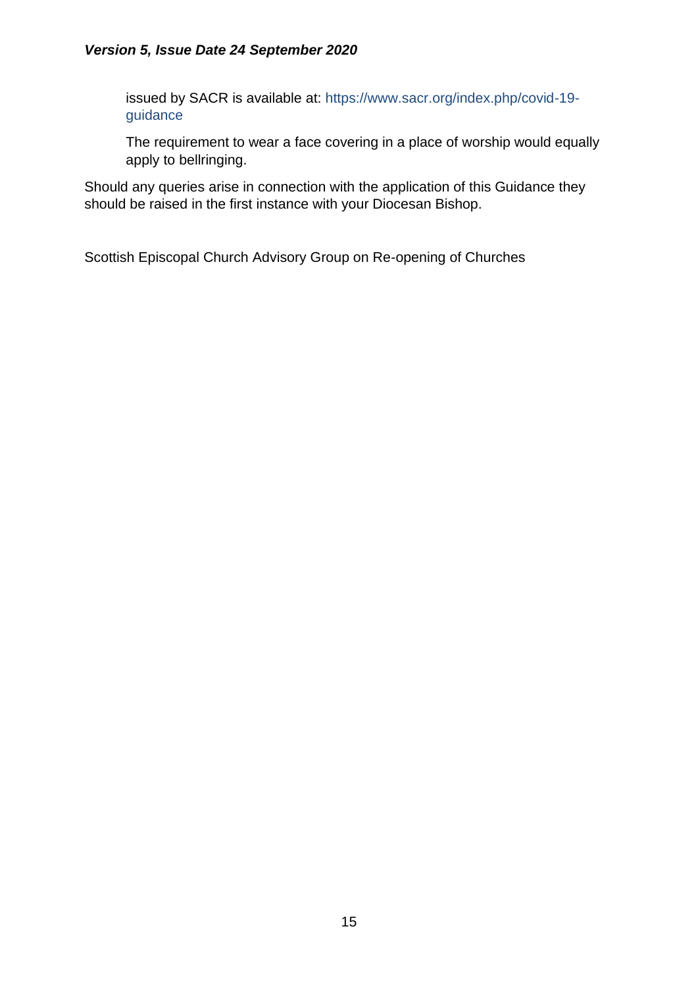#### *Version 5, Issue Date 24 September 2020*

issued by SACR is available at: https://www.sacr.org/index.php/covid-19 guidance

The requirement to wear a face covering in a place of worship would equally apply to bellringing.

Should any queries arise in connection with the application of this Guidance they should be raised in the first instance with your Diocesan Bishop.

Scottish Episcopal Church Advisory Group on Re-opening of Churches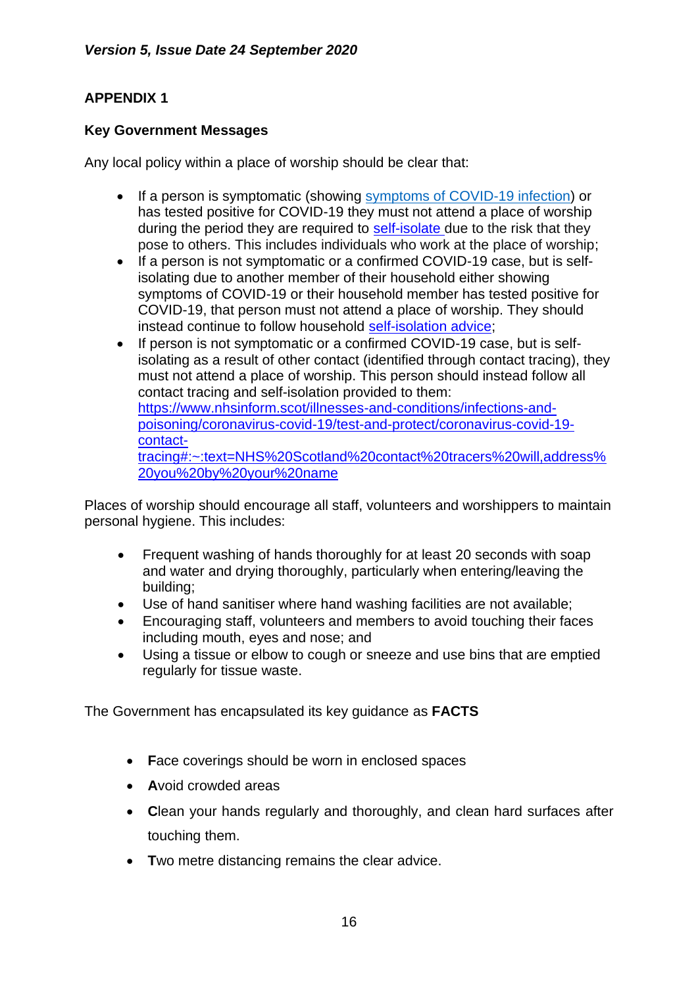## **APPENDIX 1**

### **Key Government Messages**

Any local policy within a place of worship should be clear that:

- If a person is symptomatic (showing [symptoms of COVID-19 infection\)](https://www.nhsinform.scot/illnesses-and-conditions/infections-and-poisoning/coronavirus-covid-19/coronavirus-covid-19-general-advice) or has tested positive for COVID-19 they must not attend a place of worship during the period they are required to [self-isolate](https://www.gov.scot/publications/coronavirus-covid-19-test-and-protect/) due to the risk that they pose to others. This includes individuals who work at the place of worship;
- If a person is not symptomatic or a confirmed COVID-19 case, but is selfisolating due to another member of their household either showing symptoms of COVID-19 or their household member has tested positive for COVID-19, that person must not attend a place of worship. They should instead continue to follow household [self-isolation advice;](https://www.gov.scot/publications/coronavirus-covid-19-test-and-protect/)
- If person is not symptomatic or a confirmed COVID-19 case, but is selfisolating as a result of other contact (identified through contact tracing), they must not attend a place of worship. This person should instead follow all contact tracing and self-isolation provided to them: [https://www.nhsinform.scot/illnesses-and-conditions/infections-and](https://www.nhsinform.scot/illnesses-and-conditions/infections-and-poisoning/coronavirus-covid-19/test-and-protect/coronavirus-covid-19-contact-tracing#:~:text=NHS%20Scotland%20contact%20tracers%20will,address%20you%20by%20your%20name)[poisoning/coronavirus-covid-19/test-and-protect/coronavirus-covid-19](https://www.nhsinform.scot/illnesses-and-conditions/infections-and-poisoning/coronavirus-covid-19/test-and-protect/coronavirus-covid-19-contact-tracing#:~:text=NHS%20Scotland%20contact%20tracers%20will,address%20you%20by%20your%20name) [contact](https://www.nhsinform.scot/illnesses-and-conditions/infections-and-poisoning/coronavirus-covid-19/test-and-protect/coronavirus-covid-19-contact-tracing#:~:text=NHS%20Scotland%20contact%20tracers%20will,address%20you%20by%20your%20name)[tracing#:~:text=NHS%20Scotland%20contact%20tracers%20will,address%](https://www.nhsinform.scot/illnesses-and-conditions/infections-and-poisoning/coronavirus-covid-19/test-and-protect/coronavirus-covid-19-contact-tracing#:~:text=NHS%20Scotland%20contact%20tracers%20will,address%20you%20by%20your%20name) [20you%20by%20your%20name](https://www.nhsinform.scot/illnesses-and-conditions/infections-and-poisoning/coronavirus-covid-19/test-and-protect/coronavirus-covid-19-contact-tracing#:~:text=NHS%20Scotland%20contact%20tracers%20will,address%20you%20by%20your%20name)

Places of worship should encourage all staff, volunteers and worshippers to maintain personal hygiene. This includes:

- Frequent washing of hands thoroughly for at least 20 seconds with soap and water and drying thoroughly, particularly when entering/leaving the building;
- Use of hand sanitiser where hand washing facilities are not available;
- Encouraging staff, volunteers and members to avoid touching their faces including mouth, eyes and nose; and
- Using a tissue or elbow to cough or sneeze and use bins that are emptied regularly for tissue waste.

The Government has encapsulated its key guidance as **FACTS**

- **F**ace coverings should be worn in enclosed spaces
- **A**void crowded areas
- **C**lean your hands regularly and thoroughly, and clean hard surfaces after touching them.
- **T**wo metre distancing remains the clear advice.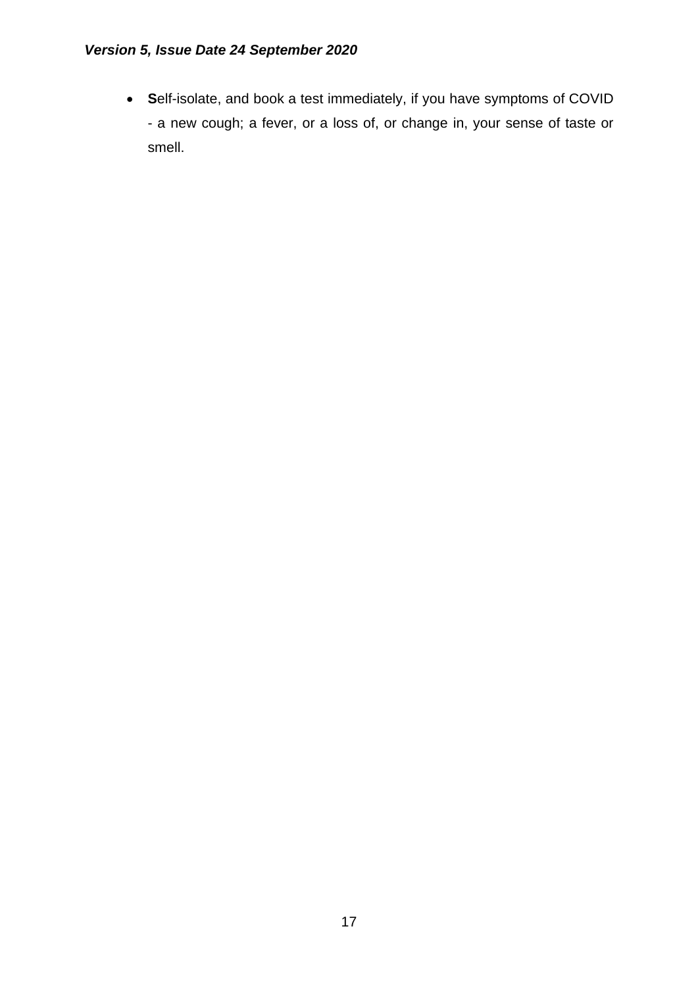• **S**elf-isolate, and book a test immediately, if you have symptoms of COVID - a new cough; a fever, or a loss of, or change in, your sense of taste or smell.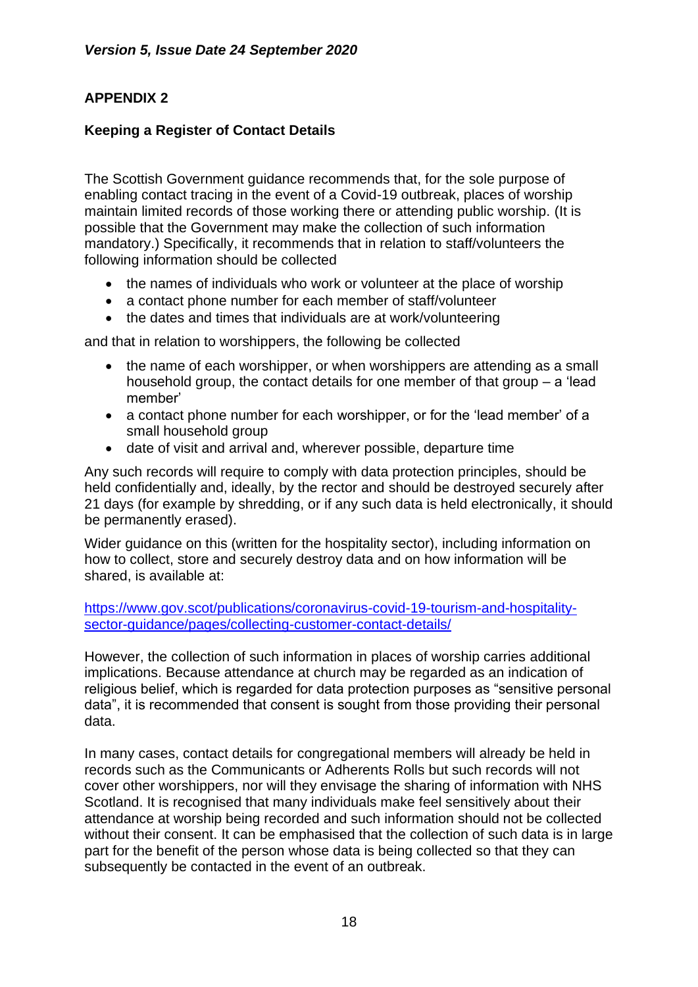## **APPENDIX 2**

### **Keeping a Register of Contact Details**

The Scottish Government guidance recommends that, for the sole purpose of enabling contact tracing in the event of a Covid-19 outbreak, places of worship maintain limited records of those working there or attending public worship. (It is possible that the Government may make the collection of such information mandatory.) Specifically, it recommends that in relation to staff/volunteers the following information should be collected

- the names of individuals who work or volunteer at the place of worship
- a contact phone number for each member of staff/volunteer
- the dates and times that individuals are at work/volunteering

and that in relation to worshippers, the following be collected

- the name of each worshipper, or when worshippers are attending as a small household group, the contact details for one member of that group – a 'lead member'
- a contact phone number for each worshipper, or for the 'lead member' of a small household group
- date of visit and arrival and, wherever possible, departure time

Any such records will require to comply with data protection principles, should be held confidentially and, ideally, by the rector and should be destroyed securely after 21 days (for example by shredding, or if any such data is held electronically, it should be permanently erased).

Wider guidance on this (written for the hospitality sector), including information on how to collect, store and securely destroy data and on how information will be shared, is available at:

[https://www.gov.scot/publications/coronavirus-covid-19-tourism-and-hospitality](https://www.gov.scot/publications/coronavirus-covid-19-tourism-and-hospitality-sector-guidance/pages/collecting-customer-contact-details/)[sector-guidance/pages/collecting-customer-contact-details/](https://www.gov.scot/publications/coronavirus-covid-19-tourism-and-hospitality-sector-guidance/pages/collecting-customer-contact-details/)

However, the collection of such information in places of worship carries additional implications. Because attendance at church may be regarded as an indication of religious belief, which is regarded for data protection purposes as "sensitive personal data", it is recommended that consent is sought from those providing their personal data.

In many cases, contact details for congregational members will already be held in records such as the Communicants or Adherents Rolls but such records will not cover other worshippers, nor will they envisage the sharing of information with NHS Scotland. It is recognised that many individuals make feel sensitively about their attendance at worship being recorded and such information should not be collected without their consent. It can be emphasised that the collection of such data is in large part for the benefit of the person whose data is being collected so that they can subsequently be contacted in the event of an outbreak.